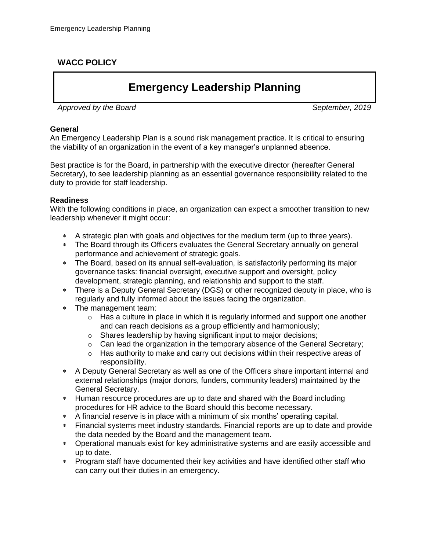## **WACC POLICY**

# **Emergency Leadership Planning**

Approved by the Board September, 2019

#### **General**

An Emergency Leadership Plan is a sound risk management practice. It is critical to ensuring the viability of an organization in the event of a key manager's unplanned absence.

Best practice is for the Board, in partnership with the executive director (hereafter General Secretary), to see leadership planning as an essential governance responsibility related to the duty to provide for staff leadership.

#### **Readiness**

With the following conditions in place, an organization can expect a smoother transition to new leadership whenever it might occur:

- A strategic plan with goals and objectives for the medium term (up to three years).
- The Board through its Officers evaluates the General Secretary annually on general performance and achievement of strategic goals.
- The Board, based on its annual self-evaluation, is satisfactorily performing its major governance tasks: financial oversight, executive support and oversight, policy development, strategic planning, and relationship and support to the staff.
- There is a Deputy General Secretary (DGS) or other recognized deputy in place, who is regularly and fully informed about the issues facing the organization.
- The management team:
	- $\circ$  Has a culture in place in which it is regularly informed and support one another and can reach decisions as a group efficiently and harmoniously;
	- o Shares leadership by having significant input to major decisions;
	- o Can lead the organization in the temporary absence of the General Secretary;
	- $\circ$  Has authority to make and carry out decisions within their respective areas of responsibility.
- A Deputy General Secretary as well as one of the Officers share important internal and external relationships (major donors, funders, community leaders) maintained by the General Secretary.
- Human resource procedures are up to date and shared with the Board including procedures for HR advice to the Board should this become necessary.
- A financial reserve is in place with a minimum of six months' operating capital.
- Financial systems meet industry standards. Financial reports are up to date and provide the data needed by the Board and the management team.
- Operational manuals exist for key administrative systems and are easily accessible and up to date.
- Program staff have documented their key activities and have identified other staff who can carry out their duties in an emergency.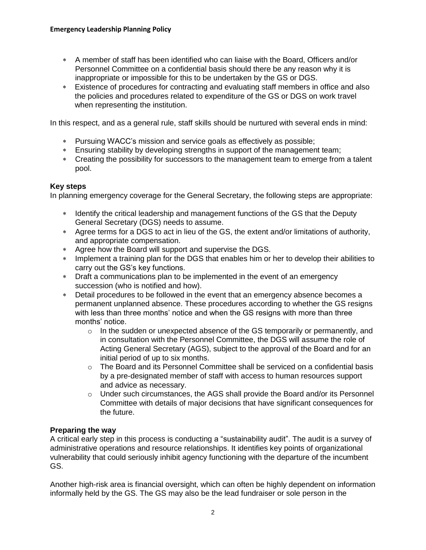- A member of staff has been identified who can liaise with the Board, Officers and/or Personnel Committee on a confidential basis should there be any reason why it is inappropriate or impossible for this to be undertaken by the GS or DGS.
- Existence of procedures for contracting and evaluating staff members in office and also the policies and procedures related to expenditure of the GS or DGS on work travel when representing the institution.

In this respect, and as a general rule, staff skills should be nurtured with several ends in mind:

- Pursuing WACC's mission and service goals as effectively as possible;
- Ensuring stability by developing strengths in support of the management team;
- Creating the possibility for successors to the management team to emerge from a talent pool.

#### **Key steps**

In planning emergency coverage for the General Secretary, the following steps are appropriate:

- \* Identify the critical leadership and management functions of the GS that the Deputy General Secretary (DGS) needs to assume.
- Agree terms for a DGS to act in lieu of the GS, the extent and/or limitations of authority, and appropriate compensation.
- Agree how the Board will support and supervise the DGS.
- Implement a training plan for the DGS that enables him or her to develop their abilities to carry out the GS's key functions.
- Draft a communications plan to be implemented in the event of an emergency succession (who is notified and how).
- Detail procedures to be followed in the event that an emergency absence becomes a permanent unplanned absence. These procedures according to whether the GS resigns with less than three months' notice and when the GS resigns with more than three months' notice.
	- $\circ$  In the sudden or unexpected absence of the GS temporarily or permanently, and in consultation with the Personnel Committee, the DGS will assume the role of Acting General Secretary (AGS), subject to the approval of the Board and for an initial period of up to six months.
	- $\circ$  The Board and its Personnel Committee shall be serviced on a confidential basis by a pre-designated member of staff with access to human resources support and advice as necessary.
	- $\circ$  Under such circumstances, the AGS shall provide the Board and/or its Personnel Committee with details of major decisions that have significant consequences for the future.

### **Preparing the way**

A critical early step in this process is conducting a "sustainability audit". The audit is a survey of administrative operations and resource relationships. It identifies key points of organizational vulnerability that could seriously inhibit agency functioning with the departure of the incumbent GS.

Another high-risk area is financial oversight, which can often be highly dependent on information informally held by the GS. The GS may also be the lead fundraiser or sole person in the